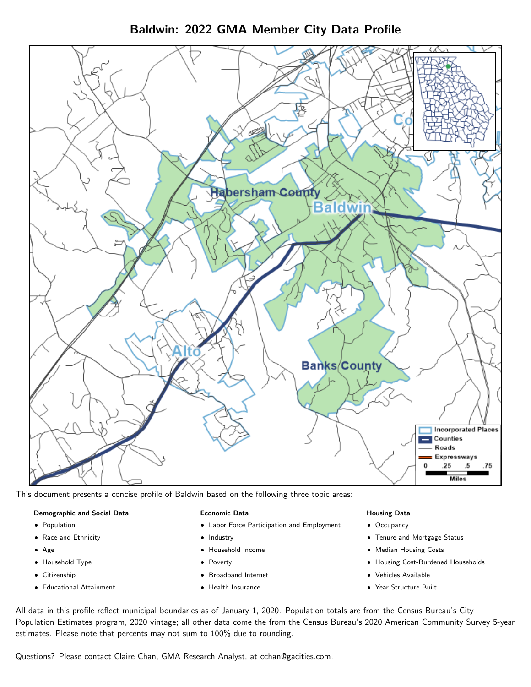Baldwin: 2022 GMA Member City Data Profile



This document presents a concise profile of Baldwin based on the following three topic areas:

#### Demographic and Social Data

- **•** Population
- Race and Ethnicity
- Age
- Household Type
- **Citizenship**
- Educational Attainment

#### Economic Data

- Labor Force Participation and Employment
- Industry
- Household Income
- Poverty
- Broadband Internet
- Health Insurance

#### Housing Data

- Occupancy
- Tenure and Mortgage Status
- Median Housing Costs
- Housing Cost-Burdened Households
- Vehicles Available
- Year Structure Built

All data in this profile reflect municipal boundaries as of January 1, 2020. Population totals are from the Census Bureau's City Population Estimates program, 2020 vintage; all other data come the from the Census Bureau's 2020 American Community Survey 5-year estimates. Please note that percents may not sum to 100% due to rounding.

Questions? Please contact Claire Chan, GMA Research Analyst, at [cchan@gacities.com.](mailto:cchan@gacities.com)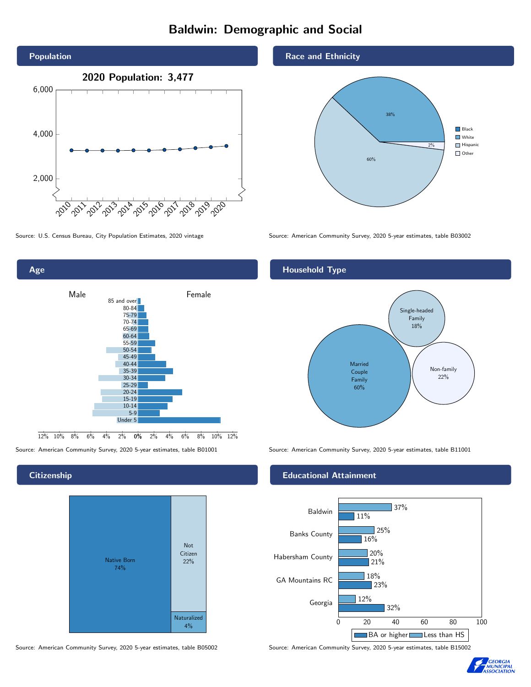## Baldwin: Demographic and Social





**Citizenship** 



Source: American Community Survey, 2020 5-year estimates, table B05002 Source: American Community Survey, 2020 5-year estimates, table B15002

Race and Ethnicity



Source: U.S. Census Bureau, City Population Estimates, 2020 vintage Source: American Community Survey, 2020 5-year estimates, table B03002

#### Household Type



Source: American Community Survey, 2020 5-year estimates, table B01001 Source: American Community Survey, 2020 5-year estimates, table B11001

#### Educational Attainment



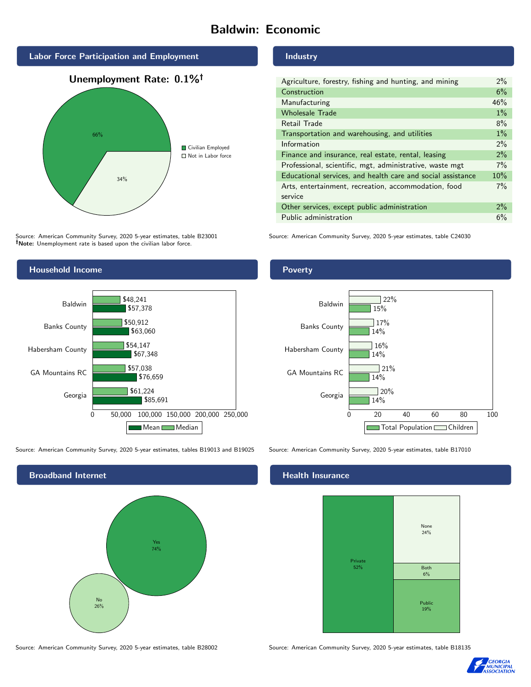## Baldwin: Economic



Source: American Community Survey, 2020 5-year estimates, table B23001 Note: Unemployment rate is based upon the civilian labor force.



Source: American Community Survey, 2020 5-year estimates, tables B19013 and B19025 Source: American Community Survey, 2020 5-year estimates, table B17010



Industry

| Agriculture, forestry, fishing and hunting, and mining      | $2\%$ |
|-------------------------------------------------------------|-------|
| Construction                                                | 6%    |
| Manufacturing                                               | 46%   |
| <b>Wholesale Trade</b>                                      | $1\%$ |
| Retail Trade                                                | 8%    |
| Transportation and warehousing, and utilities               | $1\%$ |
| Information                                                 | 2%    |
| Finance and insurance, real estate, rental, leasing         | 2%    |
| Professional, scientific, mgt, administrative, waste mgt    | $7\%$ |
| Educational services, and health care and social assistance | 10%   |
| Arts, entertainment, recreation, accommodation, food        | $7\%$ |
| service                                                     |       |
| Other services, except public administration                | $2\%$ |
| Public administration                                       | 6%    |

Source: American Community Survey, 2020 5-year estimates, table C24030

#### Poverty



#### Health Insurance



Source: American Community Survey, 2020 5-year estimates, table B28002 Source: American Community Survey, 2020 5-year estimates, table B18135